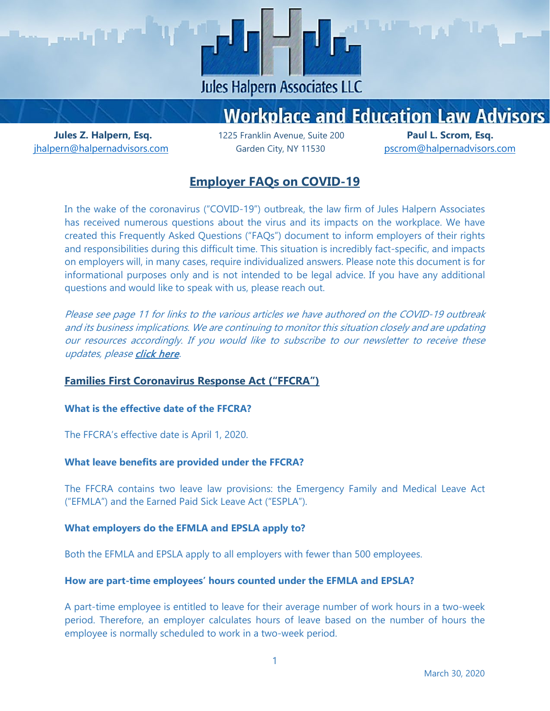

# **Workplace and Education Law Advisors**

ihalpern@halpernadvisors.com Garden City, NY 11530 [pscrom@halpernadvisors.com](mailto:pscrom@halpernadvisors.com)

**Jules Z. Halpern, Esq.** 1225 Franklin Avenue, Suite 200 **Paul L. Scrom, Esq.**

# **Employer FAQs on COVID-19**

In the wake of the coronavirus ("COVID-19") outbreak, the law firm of Jules Halpern Associates has received numerous questions about the virus and its impacts on the workplace. We have created this Frequently Asked Questions ("FAQs") document to inform employers of their rights and responsibilities during this difficult time. This situation is incredibly fact-specific, and impacts on employers will, in many cases, require individualized answers. Please note this document is for informational purposes only and is not intended to be legal advice. If you have any additional questions and would like to speak with us, please reach out.

Please see page 11 for links to the various articles we have authored on the COVID-19 outbreak and its business implications. We are continuing to monitor this situation closely and are updating our resources accordingly. If you would like to subscribe to our newsletter to receive these updates, pleas[e click here.](http://eepurl.com/cl3g7j)

## **Families First Coronavirus Response Act ("FFCRA")**

#### **What is the effective date of the FFCRA?**

The FFCRA's effective date is April 1, 2020.

#### **What leave benefits are provided under the FFCRA?**

The FFCRA contains two leave law provisions: the Emergency Family and Medical Leave Act ("EFMLA") and the Earned Paid Sick Leave Act ("ESPLA").

#### **What employers do the EFMLA and EPSLA apply to?**

Both the EFMLA and EPSLA apply to all employers with fewer than 500 employees.

#### **How are part-time employees' hours counted under the EFMLA and EPSLA?**

A part-time employee is entitled to leave for their average number of work hours in a two-week period. Therefore, an employer calculates hours of leave based on the number of hours the employee is normally scheduled to work in a two-week period.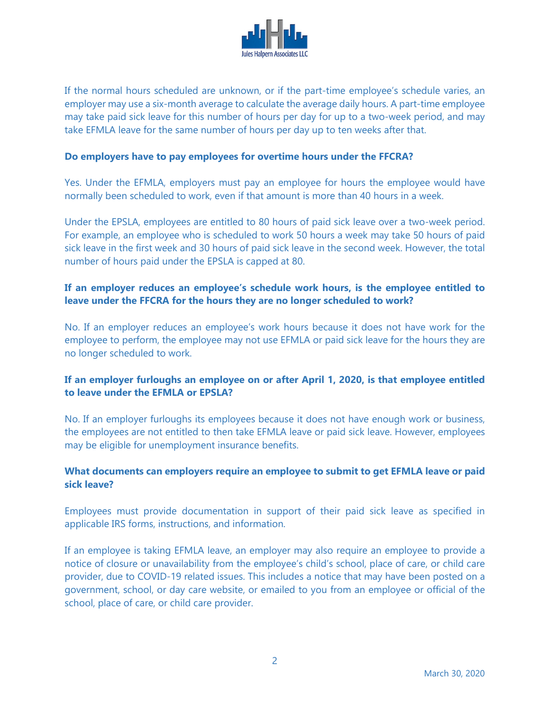

If the normal hours scheduled are unknown, or if the part-time employee's schedule varies, an employer may use a six-month average to calculate the average daily hours. A part-time employee may take paid sick leave for this number of hours per day for up to a two-week period, and may take EFMLA leave for the same number of hours per day up to ten weeks after that.

#### **Do employers have to pay employees for overtime hours under the FFCRA?**

Yes. Under the EFMLA, employers must pay an employee for hours the employee would have normally been scheduled to work, even if that amount is more than 40 hours in a week.

Under the EPSLA, employees are entitled to 80 hours of paid sick leave over a two-week period. For example, an employee who is scheduled to work 50 hours a week may take 50 hours of paid sick leave in the first week and 30 hours of paid sick leave in the second week. However, the total number of hours paid under the EPSLA is capped at 80.

# **If an employer reduces an employee's schedule work hours, is the employee entitled to leave under the FFCRA for the hours they are no longer scheduled to work?**

No. If an employer reduces an employee's work hours because it does not have work for the employee to perform, the employee may not use EFMLA or paid sick leave for the hours they are no longer scheduled to work.

## **If an employer furloughs an employee on or after April 1, 2020, is that employee entitled to leave under the EFMLA or EPSLA?**

No. If an employer furloughs its employees because it does not have enough work or business, the employees are not entitled to then take EFMLA leave or paid sick leave. However, employees may be eligible for unemployment insurance benefits.

## **What documents can employers require an employee to submit to get EFMLA leave or paid sick leave?**

Employees must provide documentation in support of their paid sick leave as specified in applicable IRS forms, instructions, and information.

If an employee is taking EFMLA leave, an employer may also require an employee to provide a notice of closure or unavailability from the employee's child's school, place of care, or child care provider, due to COVID-19 related issues. This includes a notice that may have been posted on a government, school, or day care website, or emailed to you from an employee or official of the school, place of care, or child care provider.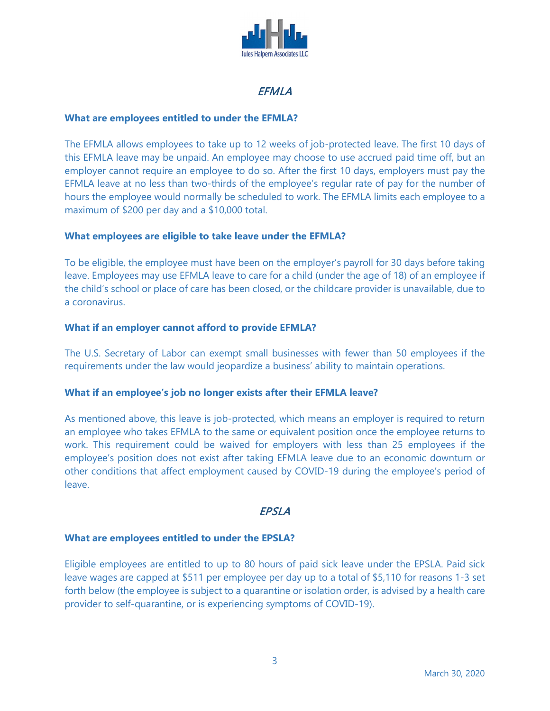

# **EFMLA**

## **What are employees entitled to under the EFMLA?**

The EFMLA allows employees to take up to 12 weeks of job-protected leave. The first 10 days of this EFMLA leave may be unpaid. An employee may choose to use accrued paid time off, but an employer cannot require an employee to do so. After the first 10 days, employers must pay the EFMLA leave at no less than two-thirds of the employee's regular rate of pay for the number of hours the employee would normally be scheduled to work. The EFMLA limits each employee to a maximum of \$200 per day and a \$10,000 total.

## **What employees are eligible to take leave under the EFMLA?**

To be eligible, the employee must have been on the employer's payroll for 30 days before taking leave. Employees may use EFMLA leave to care for a child (under the age of 18) of an employee if the child's school or place of care has been closed, or the childcare provider is unavailable, due to a coronavirus.

## **What if an employer cannot afford to provide EFMLA?**

The U.S. Secretary of Labor can exempt small businesses with fewer than 50 employees if the requirements under the law would jeopardize a business' ability to maintain operations.

## **What if an employee's job no longer exists after their EFMLA leave?**

As mentioned above, this leave is job-protected, which means an employer is required to return an employee who takes EFMLA to the same or equivalent position once the employee returns to work. This requirement could be waived for employers with less than 25 employees if the employee's position does not exist after taking EFMLA leave due to an economic downturn or other conditions that affect employment caused by COVID-19 during the employee's period of leave.

# **EPSLA**

## **What are employees entitled to under the EPSLA?**

Eligible employees are entitled to up to 80 hours of paid sick leave under the EPSLA. Paid sick leave wages are capped at \$511 per employee per day up to a total of \$5,110 for reasons 1-3 set forth below (the employee is subject to a quarantine or isolation order, is advised by a health care provider to self-quarantine, or is experiencing symptoms of COVID-19).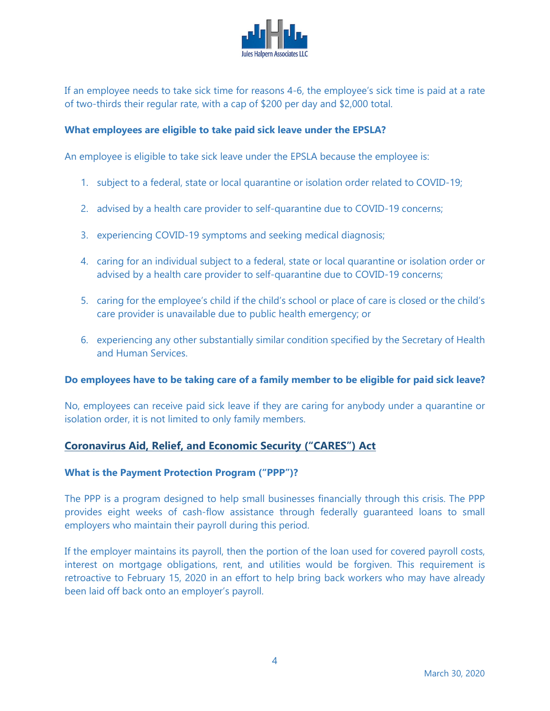

If an employee needs to take sick time for reasons 4-6, the employee's sick time is paid at a rate of two-thirds their regular rate, with a cap of \$200 per day and \$2,000 total.

## **What employees are eligible to take paid sick leave under the EPSLA?**

An employee is eligible to take sick leave under the EPSLA because the employee is:

- 1. subject to a federal, state or local quarantine or isolation order related to COVID-19;
- 2. advised by a health care provider to self-quarantine due to COVID-19 concerns;
- 3. experiencing COVID-19 symptoms and seeking medical diagnosis;
- 4. caring for an individual subject to a federal, state or local quarantine or isolation order or advised by a health care provider to self-quarantine due to COVID-19 concerns;
- 5. caring for the employee's child if the child's school or place of care is closed or the child's care provider is unavailable due to public health emergency; or
- 6. experiencing any other substantially similar condition specified by the Secretary of Health and Human Services.

## **Do employees have to be taking care of a family member to be eligible for paid sick leave?**

No, employees can receive paid sick leave if they are caring for anybody under a quarantine or isolation order, it is not limited to only family members.

# **Coronavirus Aid, Relief, and Economic Security ("CARES") Act**

## **What is the Payment Protection Program ("PPP")?**

The PPP is a program designed to help small businesses financially through this crisis. The PPP provides eight weeks of cash-flow assistance through federally guaranteed loans to small employers who maintain their payroll during this period.

If the employer maintains its payroll, then the portion of the loan used for covered payroll costs, interest on mortgage obligations, rent, and utilities would be forgiven. This requirement is retroactive to February 15, 2020 in an effort to help bring back workers who may have already been laid off back onto an employer's payroll.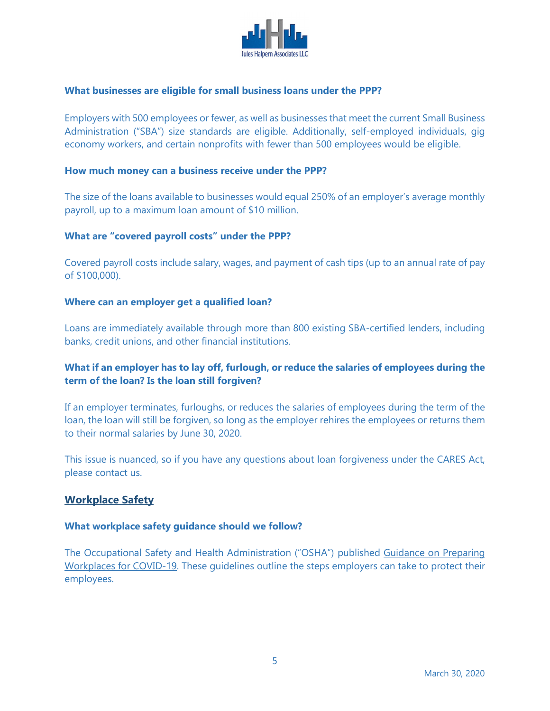

## **What businesses are eligible for small business loans under the PPP?**

Employers with 500 employees or fewer, as well as businesses that meet the current Small Business Administration ("SBA") size standards are eligible. Additionally, self-employed individuals, gig economy workers, and certain nonprofits with fewer than 500 employees would be eligible.

#### **How much money can a business receive under the PPP?**

The size of the loans available to businesses would equal 250% of an employer's average monthly payroll, up to a maximum loan amount of \$10 million.

#### **What are "covered payroll costs" under the PPP?**

Covered payroll costs include salary, wages, and payment of cash tips (up to an annual rate of pay of \$100,000).

#### **Where can an employer get a qualified loan?**

Loans are immediately available through more than 800 existing SBA-certified lenders, including banks, credit unions, and other financial institutions.

## **What if an employer has to lay off, furlough, or reduce the salaries of employees during the term of the loan? Is the loan still forgiven?**

If an employer terminates, furloughs, or reduces the salaries of employees during the term of the loan, the loan will still be forgiven, so long as the employer rehires the employees or returns them to their normal salaries by June 30, 2020.

This issue is nuanced, so if you have any questions about loan forgiveness under the CARES Act, please contact us.

# **Workplace Safety**

#### **What workplace safety guidance should we follow?**

The Occupational Safety and Health Administration ("OSHA") published [Guidance on Preparing](https://www.osha.gov/Publications/OSHA3990.pdf)  [Workplaces for COVID-19.](https://www.osha.gov/Publications/OSHA3990.pdf) These guidelines outline the steps employers can take to protect their employees.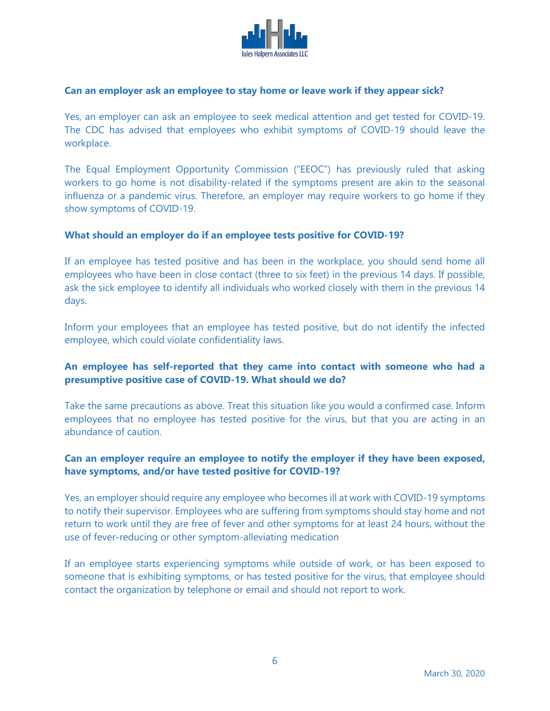

#### **Can an employer ask an employee to stay home or leave work if they appear sick?**

Yes, an employer can ask an employee to seek medical attention and get tested for COVID-19. The CDC has advised that employees who exhibit symptoms of COVID-19 should leave the workplace.

The Equal Employment Opportunity Commission ("EEOC") has previously ruled that asking workers to go home is not disability-related if the symptoms present are akin to the seasonal influenza or a pandemic virus. Therefore, an employer may require workers to go home if they show symptoms of COVID-19.

#### **What should an employer do if an employee tests positive for COVID-19?**

If an employee has tested positive and has been in the workplace, you should send home all employees who have been in close contact (three to six feet) in the previous 14 days. If possible, ask the sick employee to identify all individuals who worked closely with them in the previous 14 days.

Inform your employees that an employee has tested positive, but do not identify the infected employee, which could violate confidentiality laws.

## **An employee has self-reported that they came into contact with someone who had a presumptive positive case of COVID-19. What should we do?**

Take the same precautions as above. Treat this situation like you would a confirmed case. Inform employees that no employee has tested positive for the virus, but that you are acting in an abundance of caution.

## **Can an employer require an employee to notify the employer if they have been exposed, have symptoms, and/or have tested positive for COVID-19?**

Yes, an employer should require any employee who becomes ill at work with COVID-19 symptoms to notify their supervisor. Employees who are suffering from symptoms should stay home and not return to work until they are free of fever and other symptoms for at least 24 hours, without the use of fever-reducing or other symptom-alleviating medication

If an employee starts experiencing symptoms while outside of work, or has been exposed to someone that is exhibiting symptoms, or has tested positive for the virus, that employee should contact the organization by telephone or email and should not report to work.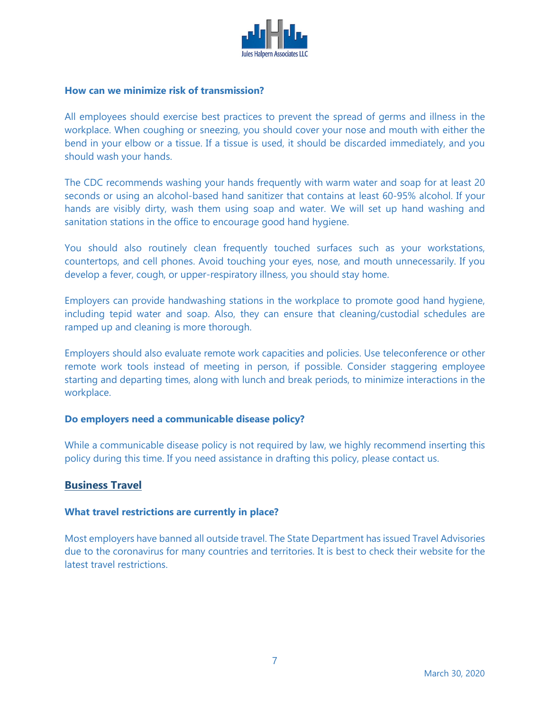

#### **How can we minimize risk of transmission?**

All employees should exercise best practices to prevent the spread of germs and illness in the workplace. When coughing or sneezing, you should cover your nose and mouth with either the bend in your elbow or a tissue. If a tissue is used, it should be discarded immediately, and you should wash your hands.

The CDC recommends washing your hands frequently with warm water and soap for at least 20 seconds or using an alcohol-based hand sanitizer that contains at least 60-95% alcohol. If your hands are visibly dirty, wash them using soap and water. We will set up hand washing and sanitation stations in the office to encourage good hand hygiene.

You should also routinely clean frequently touched surfaces such as your workstations, countertops, and cell phones. Avoid touching your eyes, nose, and mouth unnecessarily. If you develop a fever, cough, or upper-respiratory illness, you should stay home.

Employers can provide handwashing stations in the workplace to promote good hand hygiene, including tepid water and soap. Also, they can ensure that cleaning/custodial schedules are ramped up and cleaning is more thorough.

Employers should also evaluate remote work capacities and policies. Use teleconference or other remote work tools instead of meeting in person, if possible. Consider staggering employee starting and departing times, along with lunch and break periods, to minimize interactions in the workplace.

#### **Do employers need a communicable disease policy?**

While a communicable disease policy is not required by law, we highly recommend inserting this policy during this time. If you need assistance in drafting this policy, please contact us.

## **Business Travel**

#### **What travel restrictions are currently in place?**

Most employers have banned all outside travel. The State Department has issued Travel Advisories due to the coronavirus for many countries and territories. It is best to check their website for the latest travel restrictions.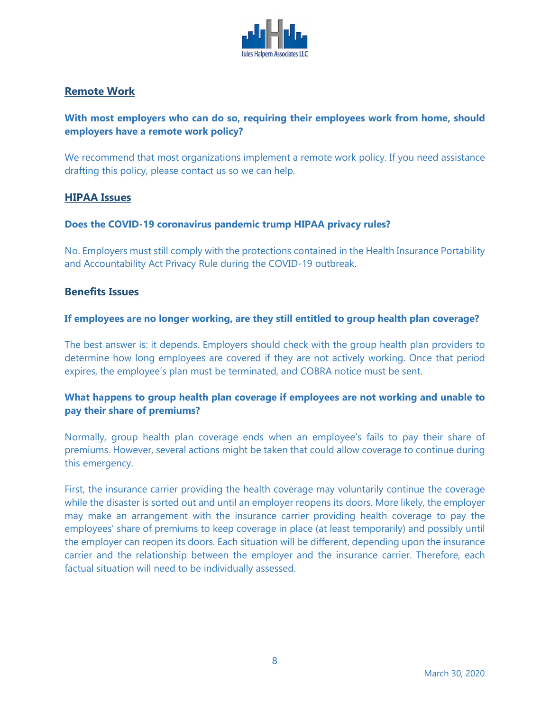

# **Remote Work**

# **With most employers who can do so, requiring their employees work from home, should employers have a remote work policy?**

We recommend that most organizations implement a remote work policy. If you need assistance drafting this policy, please contact us so we can help.

## **HIPAA Issues**

## **Does the COVID-19 coronavirus pandemic trump HIPAA privacy rules?**

No. Employers must still comply with the protections contained in the Health Insurance Portability and Accountability Act Privacy Rule during the COVID-19 outbreak.

## **Benefits Issues**

## **If employees are no longer working, are they still entitled to group health plan coverage?**

The best answer is: it depends. Employers should check with the group health plan providers to determine how long employees are covered if they are not actively working. Once that period expires, the employee's plan must be terminated, and COBRA notice must be sent.

# **What happens to group health plan coverage if employees are not working and unable to pay their share of premiums?**

Normally, group health plan coverage ends when an employee's fails to pay their share of premiums. However, several actions might be taken that could allow coverage to continue during this emergency.

First, the insurance carrier providing the health coverage may voluntarily continue the coverage while the disaster is sorted out and until an employer reopens its doors. More likely, the employer may make an arrangement with the insurance carrier providing health coverage to pay the employees' share of premiums to keep coverage in place (at least temporarily) and possibly until the employer can reopen its doors. Each situation will be different, depending upon the insurance carrier and the relationship between the employer and the insurance carrier. Therefore, each factual situation will need to be individually assessed.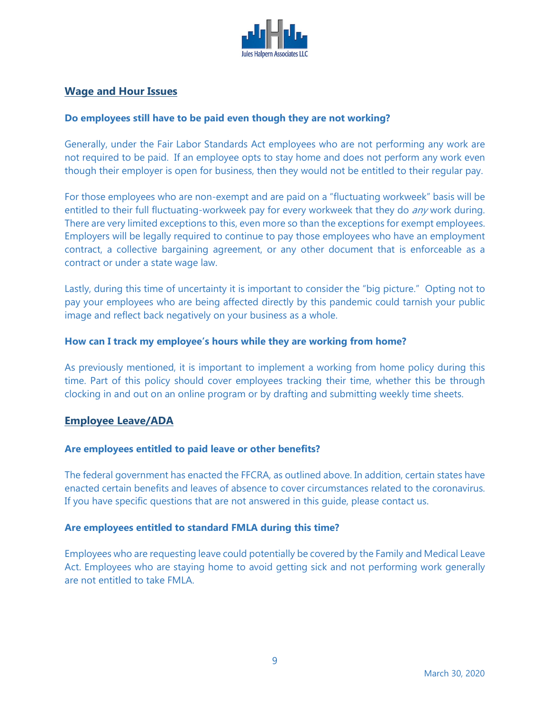

# **Wage and Hour Issues**

## **Do employees still have to be paid even though they are not working?**

Generally, under the Fair Labor Standards Act employees who are not performing any work are not required to be paid. If an employee opts to stay home and does not perform any work even though their employer is open for business, then they would not be entitled to their regular pay.

For those employees who are non-exempt and are paid on a "fluctuating workweek" basis will be entitled to their full fluctuating-workweek pay for every workweek that they do any work during. There are very limited exceptions to this, even more so than the exceptions for exempt employees. Employers will be legally required to continue to pay those employees who have an employment contract, a collective bargaining agreement, or any other document that is enforceable as a contract or under a state wage law.

Lastly, during this time of uncertainty it is important to consider the "big picture." Opting not to pay your employees who are being affected directly by this pandemic could tarnish your public image and reflect back negatively on your business as a whole.

#### **How can I track my employee's hours while they are working from home?**

As previously mentioned, it is important to implement a working from home policy during this time. Part of this policy should cover employees tracking their time, whether this be through clocking in and out on an online program or by drafting and submitting weekly time sheets.

## **Employee Leave/ADA**

#### **Are employees entitled to paid leave or other benefits?**

The federal government has enacted the FFCRA, as outlined above. In addition, certain states have enacted certain benefits and leaves of absence to cover circumstances related to the coronavirus. If you have specific questions that are not answered in this guide, please contact us.

#### **Are employees entitled to standard FMLA during this time?**

Employees who are requesting leave could potentially be covered by the Family and Medical Leave Act. Employees who are staying home to avoid getting sick and not performing work generally are not entitled to take FMLA.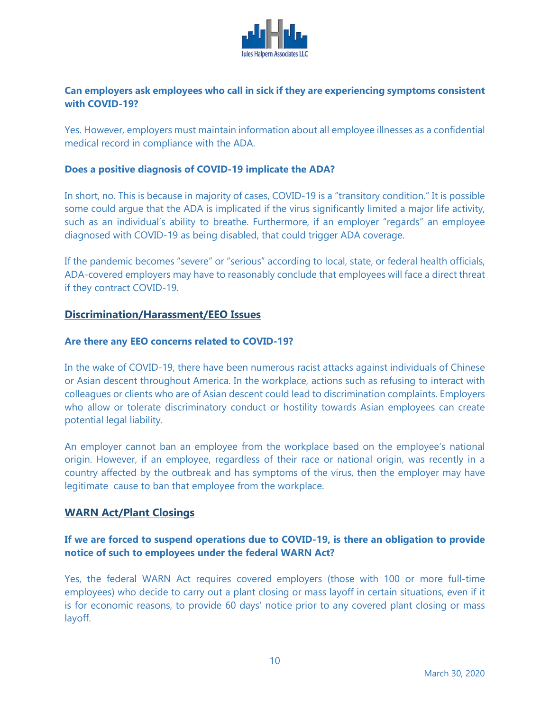

# **Can employers ask employees who call in sick if they are experiencing symptoms consistent with COVID-19?**

Yes. However, employers must maintain information about all employee illnesses as a confidential medical record in compliance with the ADA.

## **Does a positive diagnosis of COVID-19 implicate the ADA?**

In short, no. This is because in majority of cases, COVID-19 is a "transitory condition." It is possible some could argue that the ADA is implicated if the virus significantly limited a major life activity, such as an individual's ability to breathe. Furthermore, if an employer "regards" an employee diagnosed with COVID-19 as being disabled, that could trigger ADA coverage.

If the pandemic becomes "severe" or "serious" according to local, state, or federal health officials, ADA-covered employers may have to reasonably conclude that employees will face a direct threat if they contract COVID-19.

## **Discrimination/Harassment/EEO Issues**

#### **Are there any EEO concerns related to COVID-19?**

In the wake of COVID-19, there have been numerous racist attacks against individuals of Chinese or Asian descent throughout America. In the workplace, actions such as refusing to interact with colleagues or clients who are of Asian descent could lead to discrimination complaints. Employers who allow or tolerate discriminatory conduct or hostility towards Asian employees can create potential legal liability.

An employer cannot ban an employee from the workplace based on the employee's national origin. However, if an employee, regardless of their race or national origin, was recently in a country affected by the outbreak and has symptoms of the virus, then the employer may have legitimate cause to ban that employee from the workplace.

## **WARN Act/Plant Closings**

## **If we are forced to suspend operations due to COVID-19, is there an obligation to provide notice of such to employees under the federal WARN Act?**

Yes, the federal WARN Act requires covered employers (those with 100 or more full-time employees) who decide to carry out a plant closing or mass layoff in certain situations, even if it is for economic reasons, to provide 60 days' notice prior to any covered plant closing or mass layoff.